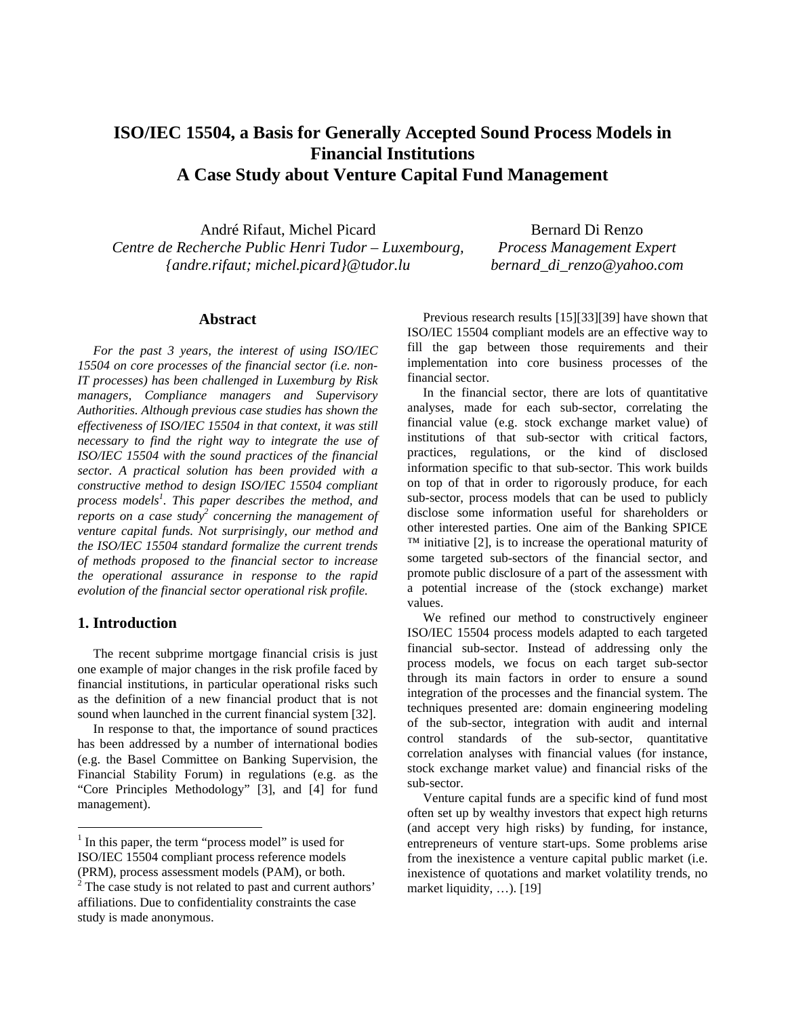# **ISO/IEC 15504, a Basis for Generally Accepted Sound Process Models in Financial Institutions A Case Study about Venture Capital Fund Management**

André Rifaut, Michel Picard *Centre de Recherche Public Henri Tudor – Luxembourg, {andre.rifaut; michel.picard}@tudor.lu*

Bernard Di Renzo *Process Management Expert bernard\_di\_renzo@yahoo.com*

### **Abstract**

*For the past 3 years, the interest of using ISO/IEC 15504 on core processes of the financial sector (i.e. non-IT processes) has been challenged in Luxemburg by Risk managers, Compliance managers and Supervisory Authorities. Although previous case studies has shown the effectiveness of ISO/IEC 15504 in that context, it was still necessary to find the right way to integrate the use of ISO/IEC 15504 with the sound practices of the financial sector. A practical solution has been provided with a constructive method to design ISO/IEC 15504 compliant process models<sup>1</sup> . This paper describes the method, and reports on a case study2 concerning the management of venture capital funds. Not surprisingly, our method and the ISO/IEC 15504 standard formalize the current trends of methods proposed to the financial sector to increase the operational assurance in response to the rapid evolution of the financial sector operational risk profile.* 

### **1. Introduction**

 $\overline{a}$ 

The recent subprime mortgage financial crisis is just one example of major changes in the risk profile faced by financial institutions, in particular operational risks such as the definition of a new financial product that is not sound when launched in the current financial system [32].

In response to that, the importance of sound practices has been addressed by a number of international bodies (e.g. the Basel Committee on Banking Supervision, the Financial Stability Forum) in regulations (e.g. as the "Core Principles Methodology" [3], and [4] for fund management).

Previous research results [15][33][39] have shown that ISO/IEC 15504 compliant models are an effective way to fill the gap between those requirements and their implementation into core business processes of the financial sector.

In the financial sector, there are lots of quantitative analyses, made for each sub-sector, correlating the financial value (e.g. stock exchange market value) of institutions of that sub-sector with critical factors, practices, regulations, or the kind of disclosed information specific to that sub-sector. This work builds on top of that in order to rigorously produce, for each sub-sector, process models that can be used to publicly disclose some information useful for shareholders or other interested parties. One aim of the Banking SPICE  $TM$  initiative [2], is to increase the operational maturity of some targeted sub-sectors of the financial sector, and promote public disclosure of a part of the assessment with a potential increase of the (stock exchange) market values.

We refined our method to constructively engineer ISO/IEC 15504 process models adapted to each targeted financial sub-sector. Instead of addressing only the process models, we focus on each target sub-sector through its main factors in order to ensure a sound integration of the processes and the financial system. The techniques presented are: domain engineering modeling of the sub-sector, integration with audit and internal control standards of the sub-sector, quantitative correlation analyses with financial values (for instance, stock exchange market value) and financial risks of the sub-sector.

Venture capital funds are a specific kind of fund most often set up by wealthy investors that expect high returns (and accept very high risks) by funding, for instance, entrepreneurs of venture start-ups. Some problems arise from the inexistence a venture capital public market (i.e. inexistence of quotations and market volatility trends, no market liquidity, ...). [19]

<sup>&</sup>lt;sup>1</sup> In this paper, the term "process model" is used for ISO/IEC 15504 compliant process reference models (PRM), process assessment models (PAM), or both.

 $2^2$  The case study is not related to past and current authors' affiliations. Due to confidentiality constraints the case study is made anonymous.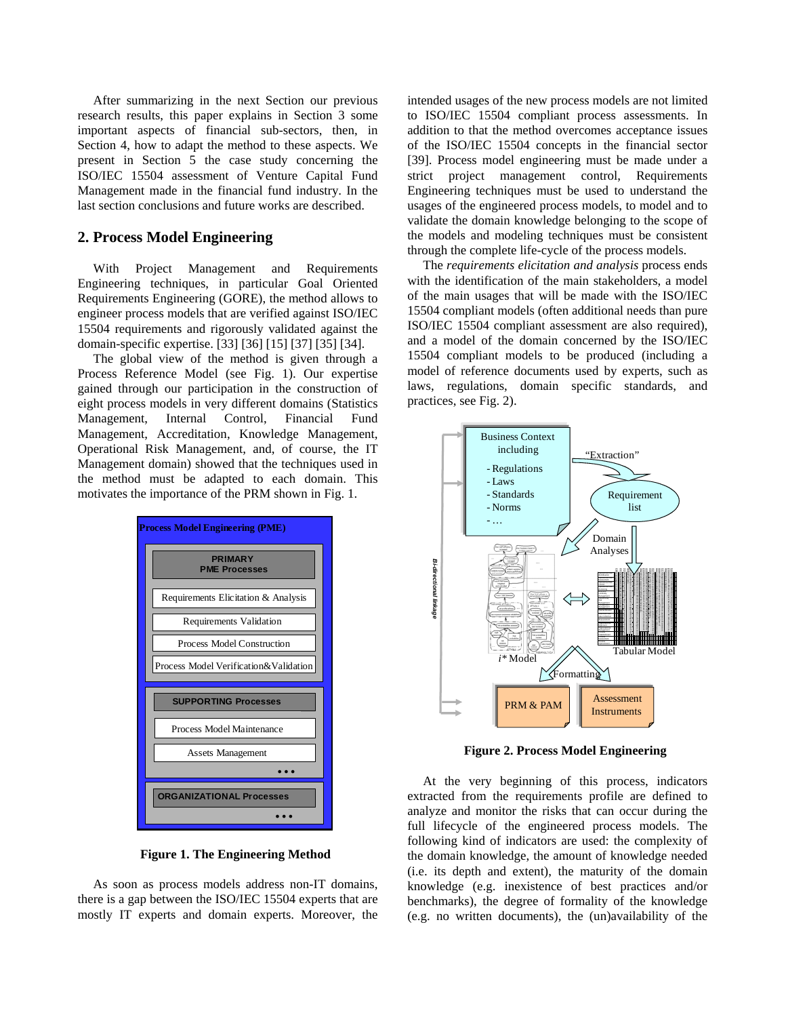After summarizing in the next Section our previous research results, this paper explains in Section 3 some important aspects of financial sub-sectors, then, in Section 4, how to adapt the method to these aspects. We present in Section 5 the case study concerning the ISO/IEC 15504 assessment of Venture Capital Fund Management made in the financial fund industry. In the last section conclusions and future works are described.

### **2. Process Model Engineering**

With Project Management and Requirements Engineering techniques, in particular Goal Oriented Requirements Engineering (GORE), the method allows to engineer process models that are verified against ISO/IEC 15504 requirements and rigorously validated against the domain-specific expertise. [33] [36] [15] [37] [35] [34].

The global view of the method is given through a Process Reference Model (see Fig. 1). Our expertise gained through our participation in the construction of eight process models in very different domains (Statistics Management, Internal Control, Financial Fund Management, Accreditation, Knowledge Management, Operational Risk Management, and, of course, the IT Management domain) showed that the techniques used in the method must be adapted to each domain. This motivates the importance of the PRM shown in Fig. 1.



**Figure 1. The Engineering Method** 

As soon as process models address non-IT domains, there is a gap between the ISO/IEC 15504 experts that are mostly IT experts and domain experts. Moreover, the intended usages of the new process models are not limited to ISO/IEC 15504 compliant process assessments. In addition to that the method overcomes acceptance issues of the ISO/IEC 15504 concepts in the financial sector [39]. Process model engineering must be made under a strict project management control, Requirements Engineering techniques must be used to understand the usages of the engineered process models, to model and to validate the domain knowledge belonging to the scope of the models and modeling techniques must be consistent through the complete life-cycle of the process models.

The *requirements elicitation and analysis* process ends with the identification of the main stakeholders, a model of the main usages that will be made with the ISO/IEC 15504 compliant models (often additional needs than pure ISO/IEC 15504 compliant assessment are also required), and a model of the domain concerned by the ISO/IEC 15504 compliant models to be produced (including a model of reference documents used by experts, such as laws, regulations, domain specific standards, and practices, see Fig. 2).



**Figure 2. Process Model Engineering** 

At the very beginning of this process, indicators extracted from the requirements profile are defined to analyze and monitor the risks that can occur during the full lifecycle of the engineered process models. The following kind of indicators are used: the complexity of the domain knowledge, the amount of knowledge needed (i.e. its depth and extent), the maturity of the domain knowledge (e.g. inexistence of best practices and/or benchmarks), the degree of formality of the knowledge (e.g. no written documents), the (un)availability of the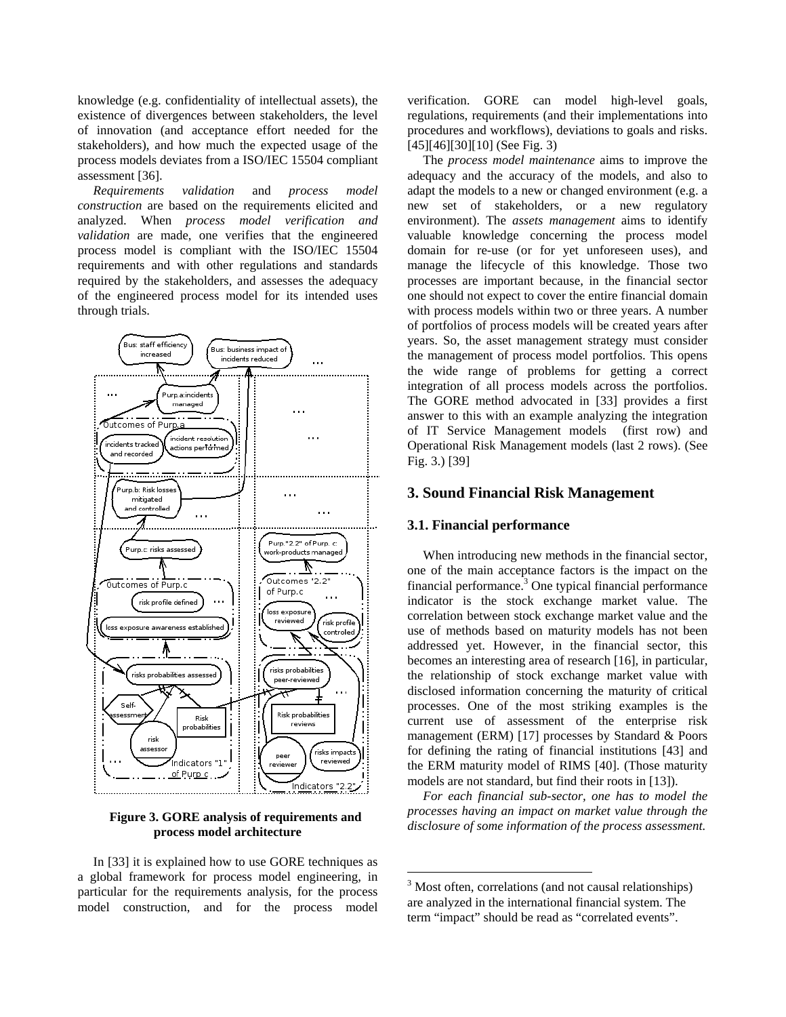knowledge (e.g. confidentiality of intellectual assets), the existence of divergences between stakeholders, the level of innovation (and acceptance effort needed for the stakeholders), and how much the expected usage of the process models deviates from a ISO/IEC 15504 compliant assessment [36].

*Requirements validation* and *process model construction* are based on the requirements elicited and analyzed. When *process model verification and validation* are made, one verifies that the engineered process model is compliant with the ISO/IEC 15504 requirements and with other regulations and standards required by the stakeholders, and assesses the adequacy of the engineered process model for its intended uses through trials.



**Figure 3. GORE analysis of requirements and process model architecture** 

In [33] it is explained how to use GORE techniques as a global framework for process model engineering, in particular for the requirements analysis, for the process model construction, and for the process model verification. GORE can model high-level goals, regulations, requirements (and their implementations into procedures and workflows), deviations to goals and risks. [45][46][30][10] (See Fig. 3)

The *process model maintenance* aims to improve the adequacy and the accuracy of the models, and also to adapt the models to a new or changed environment (e.g. a new set of stakeholders, or a new regulatory environment). The *assets management* aims to identify valuable knowledge concerning the process model domain for re-use (or for yet unforeseen uses), and manage the lifecycle of this knowledge. Those two processes are important because, in the financial sector one should not expect to cover the entire financial domain with process models within two or three years. A number of portfolios of process models will be created years after years. So, the asset management strategy must consider the management of process model portfolios. This opens the wide range of problems for getting a correct integration of all process models across the portfolios. The GORE method advocated in [33] provides a first answer to this with an example analyzing the integration of IT Service Management models (first row) and Operational Risk Management models (last 2 rows). (See Fig. 3.) [39]

### **3. Sound Financial Risk Management**

### **3.1. Financial performance**

When introducing new methods in the financial sector, one of the main acceptance factors is the impact on the financial performance.<sup>3</sup> One typical financial performance indicator is the stock exchange market value. The correlation between stock exchange market value and the use of methods based on maturity models has not been addressed yet. However, in the financial sector, this becomes an interesting area of research [16], in particular, the relationship of stock exchange market value with disclosed information concerning the maturity of critical processes. One of the most striking examples is the current use of assessment of the enterprise risk management (ERM) [17] processes by Standard & Poors for defining the rating of financial institutions [43] and the ERM maturity model of RIMS [40]. (Those maturity models are not standard, but find their roots in [13]).

*For each financial sub-sector, one has to model the processes having an impact on market value through the disclosure of some information of the process assessment.*

1

<sup>&</sup>lt;sup>3</sup> Most often, correlations (and not causal relationships) are analyzed in the international financial system. The term "impact" should be read as "correlated events".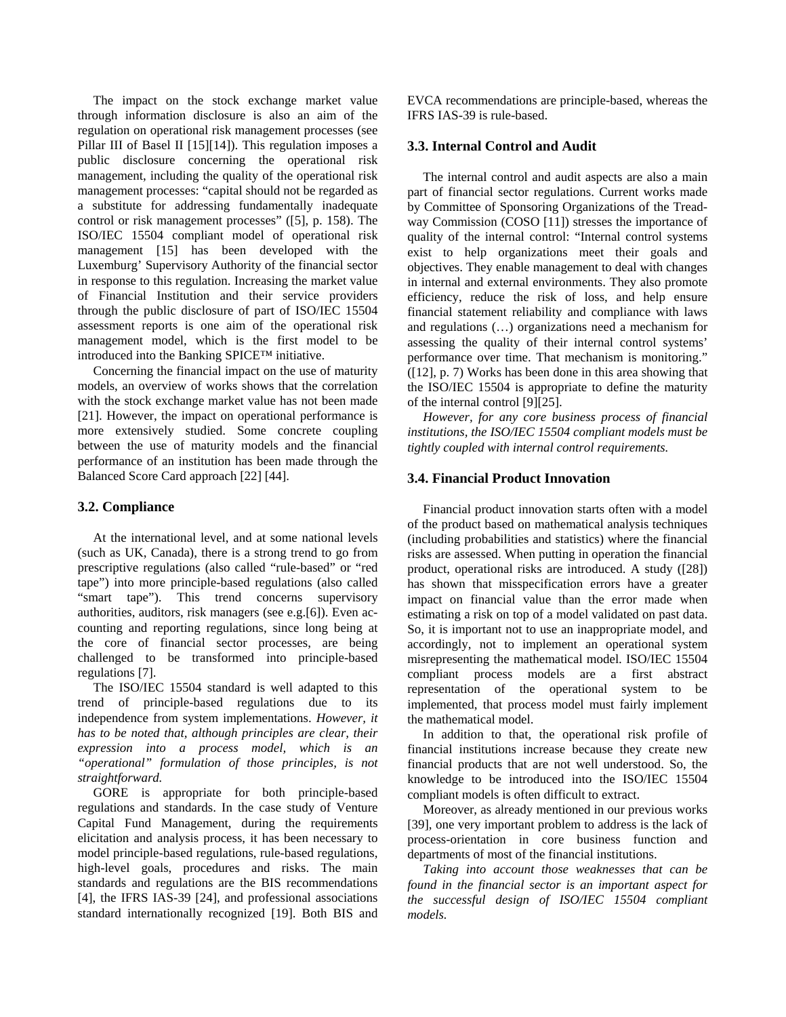The impact on the stock exchange market value through information disclosure is also an aim of the regulation on operational risk management processes (see Pillar III of Basel II [15][14]). This regulation imposes a public disclosure concerning the operational risk management, including the quality of the operational risk management processes: "capital should not be regarded as a substitute for addressing fundamentally inadequate control or risk management processes" ([5], p. 158). The ISO/IEC 15504 compliant model of operational risk management [15] has been developed with the Luxemburg' Supervisory Authority of the financial sector in response to this regulation. Increasing the market value of Financial Institution and their service providers through the public disclosure of part of ISO/IEC 15504 assessment reports is one aim of the operational risk management model, which is the first model to be introduced into the Banking SPICE™ initiative.

Concerning the financial impact on the use of maturity models, an overview of works shows that the correlation with the stock exchange market value has not been made [21]. However, the impact on operational performance is more extensively studied. Some concrete coupling between the use of maturity models and the financial performance of an institution has been made through the Balanced Score Card approach [22] [44].

### **3.2. Compliance**

At the international level, and at some national levels (such as UK, Canada), there is a strong trend to go from prescriptive regulations (also called "rule-based" or "red tape") into more principle-based regulations (also called "smart tape"). This trend concerns supervisory authorities, auditors, risk managers (see e.g.[6]). Even accounting and reporting regulations, since long being at the core of financial sector processes, are being challenged to be transformed into principle-based regulations [7].

The ISO/IEC 15504 standard is well adapted to this trend of principle-based regulations due to its independence from system implementations. *However, it has to be noted that, although principles are clear, their expression into a process model, which is an "operational" formulation of those principles, is not straightforward.*

GORE is appropriate for both principle-based regulations and standards. In the case study of Venture Capital Fund Management, during the requirements elicitation and analysis process, it has been necessary to model principle-based regulations, rule-based regulations, high-level goals, procedures and risks. The main standards and regulations are the BIS recommendations [4], the IFRS IAS-39 [24], and professional associations standard internationally recognized [19]. Both BIS and EVCA recommendations are principle-based, whereas the IFRS IAS-39 is rule-based.

### **3.3. Internal Control and Audit**

The internal control and audit aspects are also a main part of financial sector regulations. Current works made by Committee of Sponsoring Organizations of the Treadway Commission (COSO [11]) stresses the importance of quality of the internal control: "Internal control systems exist to help organizations meet their goals and objectives. They enable management to deal with changes in internal and external environments. They also promote efficiency, reduce the risk of loss, and help ensure financial statement reliability and compliance with laws and regulations (…) organizations need a mechanism for assessing the quality of their internal control systems' performance over time. That mechanism is monitoring." ([12], p. 7) Works has been done in this area showing that the ISO/IEC 15504 is appropriate to define the maturity of the internal control [9][25].

*However, for any core business process of financial institutions, the ISO/IEC 15504 compliant models must be tightly coupled with internal control requirements.* 

### **3.4. Financial Product Innovation**

Financial product innovation starts often with a model of the product based on mathematical analysis techniques (including probabilities and statistics) where the financial risks are assessed. When putting in operation the financial product, operational risks are introduced. A study ([28]) has shown that misspecification errors have a greater impact on financial value than the error made when estimating a risk on top of a model validated on past data. So, it is important not to use an inappropriate model, and accordingly, not to implement an operational system misrepresenting the mathematical model. ISO/IEC 15504 compliant process models are a first abstract representation of the operational system to be implemented, that process model must fairly implement the mathematical model.

In addition to that, the operational risk profile of financial institutions increase because they create new financial products that are not well understood. So, the knowledge to be introduced into the ISO/IEC 15504 compliant models is often difficult to extract.

Moreover, as already mentioned in our previous works [39], one very important problem to address is the lack of process-orientation in core business function and departments of most of the financial institutions.

*Taking into account those weaknesses that can be found in the financial sector is an important aspect for the successful design of ISO/IEC 15504 compliant models.*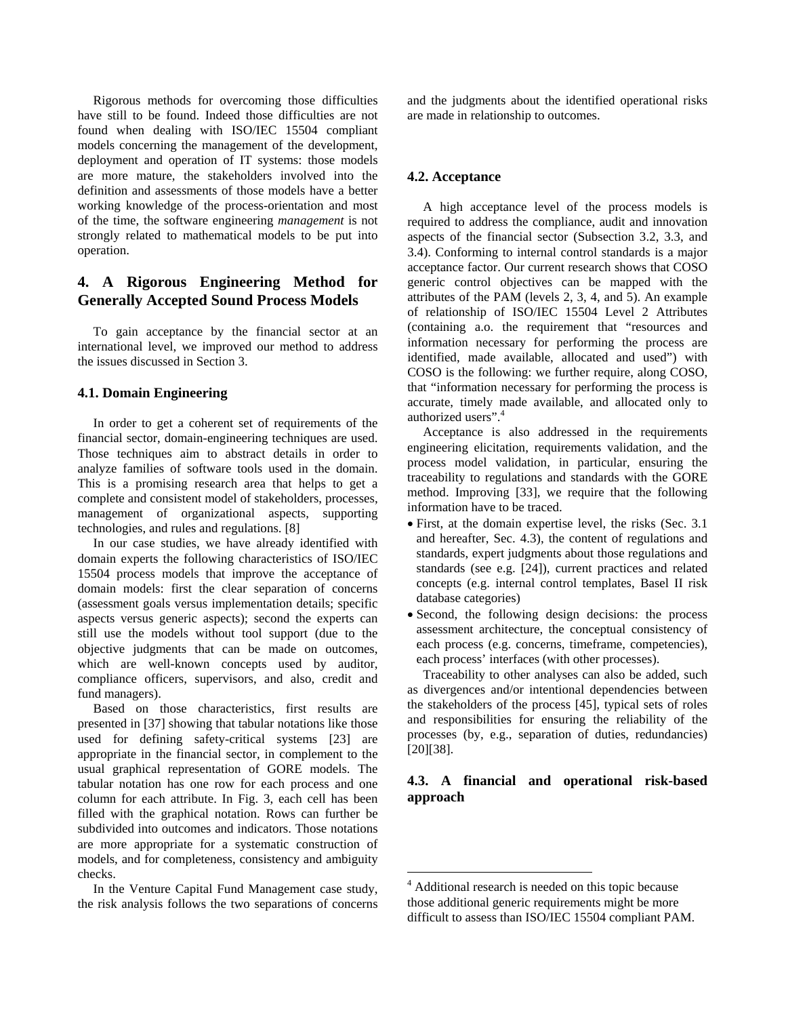Rigorous methods for overcoming those difficulties have still to be found. Indeed those difficulties are not found when dealing with ISO/IEC 15504 compliant models concerning the management of the development, deployment and operation of IT systems: those models are more mature, the stakeholders involved into the definition and assessments of those models have a better working knowledge of the process-orientation and most of the time, the software engineering *management* is not strongly related to mathematical models to be put into operation.

# **4. A Rigorous Engineering Method for Generally Accepted Sound Process Models**

To gain acceptance by the financial sector at an international level, we improved our method to address the issues discussed in Section 3.

### **4.1. Domain Engineering**

In order to get a coherent set of requirements of the financial sector, domain-engineering techniques are used. Those techniques aim to abstract details in order to analyze families of software tools used in the domain. This is a promising research area that helps to get a complete and consistent model of stakeholders, processes, management of organizational aspects, supporting technologies, and rules and regulations. [8]

In our case studies, we have already identified with domain experts the following characteristics of ISO/IEC 15504 process models that improve the acceptance of domain models: first the clear separation of concerns (assessment goals versus implementation details; specific aspects versus generic aspects); second the experts can still use the models without tool support (due to the objective judgments that can be made on outcomes, which are well-known concepts used by auditor, compliance officers, supervisors, and also, credit and fund managers).

Based on those characteristics, first results are presented in [37] showing that tabular notations like those used for defining safety-critical systems [23] are appropriate in the financial sector, in complement to the usual graphical representation of GORE models. The tabular notation has one row for each process and one column for each attribute. In Fig. 3, each cell has been filled with the graphical notation. Rows can further be subdivided into outcomes and indicators. Those notations are more appropriate for a systematic construction of models, and for completeness, consistency and ambiguity checks.

In the Venture Capital Fund Management case study, the risk analysis follows the two separations of concerns and the judgments about the identified operational risks are made in relationship to outcomes.

### **4.2. Acceptance**

A high acceptance level of the process models is required to address the compliance, audit and innovation aspects of the financial sector (Subsection 3.2, 3.3, and 3.4). Conforming to internal control standards is a major acceptance factor. Our current research shows that COSO generic control objectives can be mapped with the attributes of the PAM (levels 2, 3, 4, and 5). An example of relationship of ISO/IEC 15504 Level 2 Attributes (containing a.o. the requirement that "resources and information necessary for performing the process are identified, made available, allocated and used") with COSO is the following: we further require, along COSO, that "information necessary for performing the process is accurate, timely made available, and allocated only to authorized users".<sup>4</sup>

Acceptance is also addressed in the requirements engineering elicitation, requirements validation, and the process model validation, in particular, ensuring the traceability to regulations and standards with the GORE method. Improving [33], we require that the following information have to be traced.

- First, at the domain expertise level, the risks (Sec. 3.1 and hereafter, Sec. 4.3), the content of regulations and standards, expert judgments about those regulations and standards (see e.g. [24]), current practices and related concepts (e.g. internal control templates, Basel II risk database categories)
- Second, the following design decisions: the process assessment architecture, the conceptual consistency of each process (e.g. concerns, timeframe, competencies), each process' interfaces (with other processes).

Traceability to other analyses can also be added, such as divergences and/or intentional dependencies between the stakeholders of the process [45], typical sets of roles and responsibilities for ensuring the reliability of the processes (by, e.g., separation of duties, redundancies) [20][38].

# **4.3. A financial and operational risk-based approach**

1

<sup>&</sup>lt;sup>4</sup> Additional research is needed on this topic because those additional generic requirements might be more difficult to assess than ISO/IEC 15504 compliant PAM.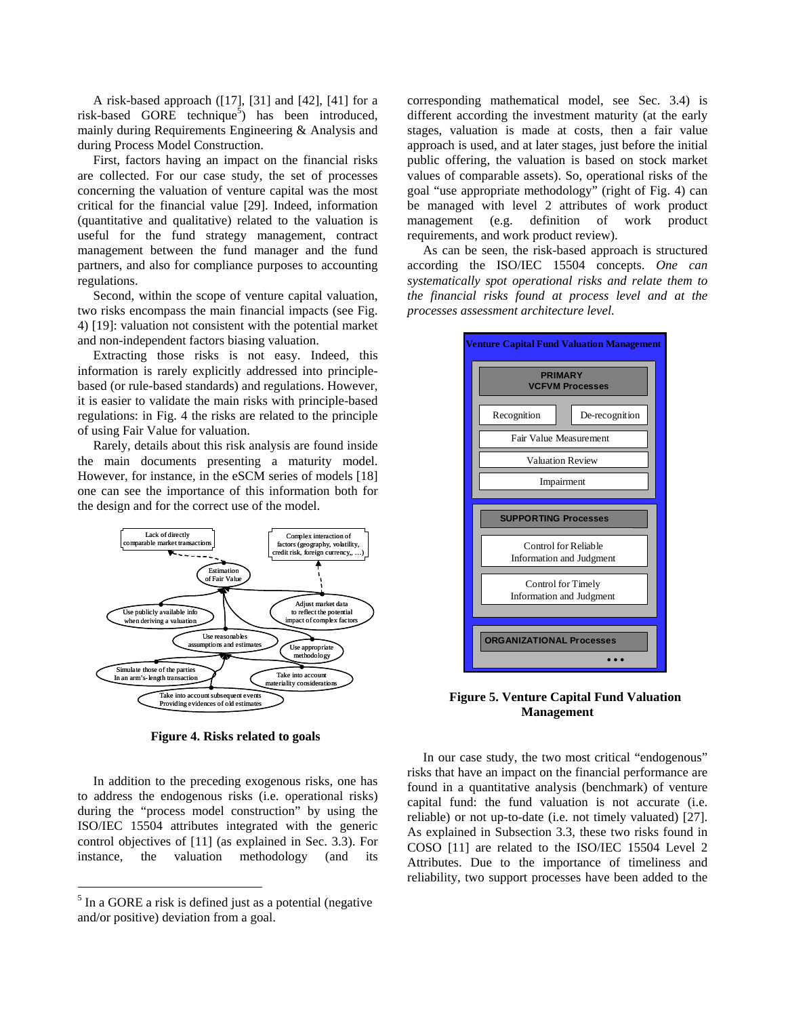A risk-based approach ([17], [31] and [42], [41] for a risk-based GORE technique<sup>5</sup>) has been introduced, mainly during Requirements Engineering & Analysis and during Process Model Construction.

First, factors having an impact on the financial risks are collected. For our case study, the set of processes concerning the valuation of venture capital was the most critical for the financial value [29]. Indeed, information (quantitative and qualitative) related to the valuation is useful for the fund strategy management, contract management between the fund manager and the fund partners, and also for compliance purposes to accounting regulations.

Second, within the scope of venture capital valuation, two risks encompass the main financial impacts (see Fig. 4) [19]: valuation not consistent with the potential market and non-independent factors biasing valuation.

Extracting those risks is not easy. Indeed, this information is rarely explicitly addressed into principlebased (or rule-based standards) and regulations. However, it is easier to validate the main risks with principle-based regulations: in Fig. 4 the risks are related to the principle of using Fair Value for valuation.

Rarely, details about this risk analysis are found inside the main documents presenting a maturity model. However, for instance, in the eSCM series of models [18] one can see the importance of this information both for the design and for the correct use of the model.



**Figure 4. Risks related to goals** 

In addition to the preceding exogenous risks, one has to address the endogenous risks (i.e. operational risks) during the "process model construction" by using the ISO/IEC 15504 attributes integrated with the generic control objectives of [11] (as explained in Sec. 3.3). For instance, the valuation methodology (and its

 $\overline{a}$ 

corresponding mathematical model, see Sec. 3.4) is different according the investment maturity (at the early stages, valuation is made at costs, then a fair value approach is used, and at later stages, just before the initial public offering, the valuation is based on stock market values of comparable assets). So, operational risks of the goal "use appropriate methodology" (right of Fig. 4) can be managed with level 2 attributes of work product management (e.g. definition of work product requirements, and work product review).

As can be seen, the risk-based approach is structured according the ISO/IEC 15504 concepts. *One can systematically spot operational risks and relate them to the financial risks found at process level and at the processes assessment architecture level.* 



**Figure 5. Venture Capital Fund Valuation Management** 

In our case study, the two most critical "endogenous" risks that have an impact on the financial performance are found in a quantitative analysis (benchmark) of venture capital fund: the fund valuation is not accurate (i.e. reliable) or not up-to-date (i.e. not timely valuated) [27]. As explained in Subsection 3.3, these two risks found in COSO [11] are related to the ISO/IEC 15504 Level 2 Attributes. Due to the importance of timeliness and reliability, two support processes have been added to the

 $<sup>5</sup>$  In a GORE a risk is defined just as a potential (negative</sup> and/or positive) deviation from a goal.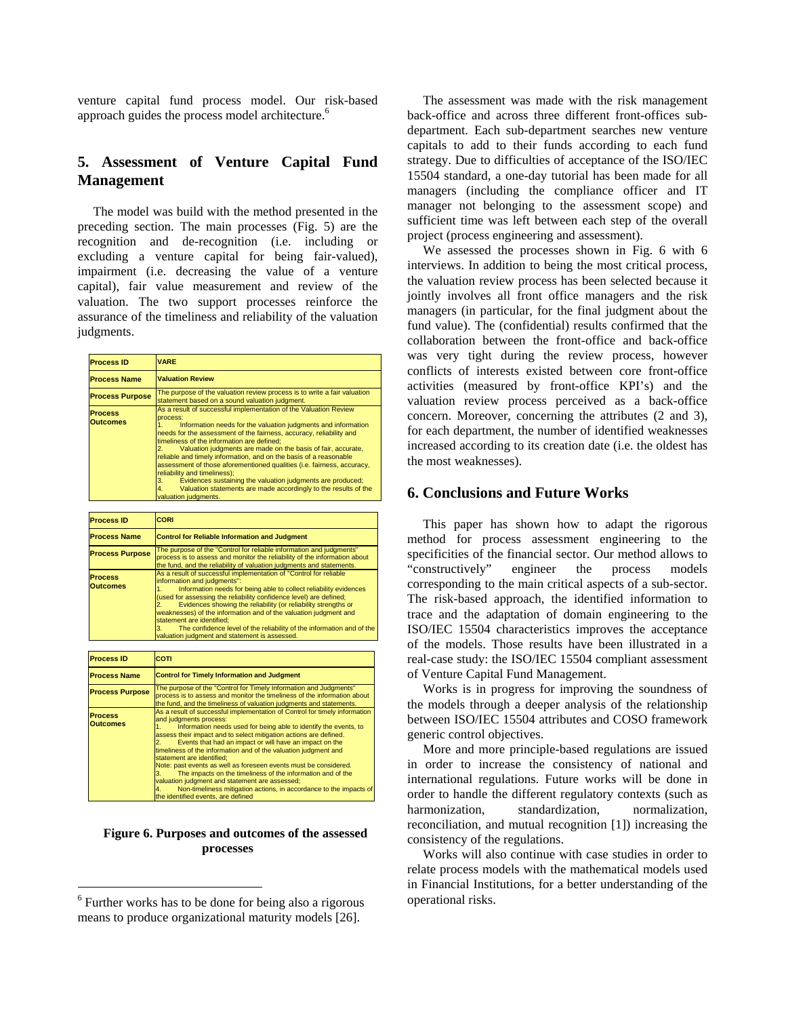venture capital fund process model. Our risk-based approach guides the process model architecture.<sup>6</sup>

# **5. Assessment of Venture Capital Fund Management**

The model was build with the method presented in the preceding section. The main processes (Fig. 5) are the recognition and de-recognition (i.e. including or excluding a venture capital for being fair-valued), impairment (i.e. decreasing the value of a venture capital), fair value measurement and review of the valuation. The two support processes reinforce the assurance of the timeliness and reliability of the valuation judgments.

| <b>Process ID</b>                 | <b>VARE</b>                                                                                                                                                                                                                                                                                                                                                                                                                                                                                                                                                                                                                                                                            |
|-----------------------------------|----------------------------------------------------------------------------------------------------------------------------------------------------------------------------------------------------------------------------------------------------------------------------------------------------------------------------------------------------------------------------------------------------------------------------------------------------------------------------------------------------------------------------------------------------------------------------------------------------------------------------------------------------------------------------------------|
| <b>Process Name</b>               | <b>Valuation Review</b>                                                                                                                                                                                                                                                                                                                                                                                                                                                                                                                                                                                                                                                                |
| <b>Process Purpose</b>            | The purpose of the valuation review process is to write a fair valuation<br>statement based on a sound valuation judgment.                                                                                                                                                                                                                                                                                                                                                                                                                                                                                                                                                             |
| <b>Process</b><br><b>Outcomes</b> | As a result of successful implementation of the Valuation Review<br>process:<br>Information needs for the valuation judgments and information<br>needs for the assessment of the fairness, accuracy, reliability and<br>timeliness of the information are defined:<br>Valuation judgments are made on the basis of fair, accurate,<br>reliable and timely information, and on the basis of a reasonable<br>assessment of those aforementioned qualities (i.e. fairness, accuracy,<br>reliability and timeliness):<br>Evidences sustaining the valuation judgments are produced;<br>3.<br>Valuation statements are made accordingly to the results of the<br>4.<br>valuation judgments. |

| <b>Process ID</b>                 | CORI                                                                                                                                                                                                                                                                                                                                                                                                                                                                                                                                                                                                                          |
|-----------------------------------|-------------------------------------------------------------------------------------------------------------------------------------------------------------------------------------------------------------------------------------------------------------------------------------------------------------------------------------------------------------------------------------------------------------------------------------------------------------------------------------------------------------------------------------------------------------------------------------------------------------------------------|
| <b>Process Name</b>               | <b>Control for Reliable Information and Judgment</b>                                                                                                                                                                                                                                                                                                                                                                                                                                                                                                                                                                          |
| <b>Process Purpose</b>            | The purpose of the "Control for reliable information and judgments"<br>process is to assess and monitor the reliability of the information about<br>the fund, and the reliability of valuation judgments and statements.                                                                                                                                                                                                                                                                                                                                                                                                      |
| <b>Process</b><br><b>Outcomes</b> | As a result of successful implementation of "Control for reliable<br>information and judgments":<br>Information needs for being able to collect reliability evidences<br>1.<br>(used for assessing the reliability confidence level) are defined;<br>Evidences showing the reliability (or reliability strengths or<br>2.<br>weaknesses) of the information and of the valuation judgment and<br>statement are identified:<br>The confidence level of the reliability of the information and of the<br>3.<br>valuation judgment and statement is assessed.                                                                    |
|                                   |                                                                                                                                                                                                                                                                                                                                                                                                                                                                                                                                                                                                                               |
| <b>Process ID</b>                 | COTI                                                                                                                                                                                                                                                                                                                                                                                                                                                                                                                                                                                                                          |
| <b>Process Name</b>               | <b>Control for Timely Information and Judgment</b>                                                                                                                                                                                                                                                                                                                                                                                                                                                                                                                                                                            |
| <b>Process Purpose</b>            | The purpose of the "Control for Timely Information and Judgments"<br>process is to assess and monitor the timeliness of the information about<br>the fund, and the timeliness of valuation judgments and statements.                                                                                                                                                                                                                                                                                                                                                                                                          |
| <b>Process</b><br><b>Outcomes</b> | As a result of successful implementation of Control for timely information<br>and judgments process:<br>Information needs used for being able to identify the events, to<br>1.<br>assess their impact and to select mitigation actions are defined.<br>Events that had an impact or will have an impact on the<br>$\overline{2}$ .<br>timeliness of the information and of the valuation judgment and<br>statement are identified:<br>Note: past events as well as foreseen events must be considered.<br>The impacts on the timeliness of the information and of the<br>3.<br>valuation judgment and statement are assessed; |

### **Figure 6. Purposes and outcomes of the assessed processes**

4. Non-timeliness mitigation actions, in accordance to the impacts of the identified events, are defined

 $\overline{a}$ 

The assessment was made with the risk management back-office and across three different front-offices subdepartment. Each sub-department searches new venture capitals to add to their funds according to each fund strategy. Due to difficulties of acceptance of the ISO/IEC 15504 standard, a one-day tutorial has been made for all managers (including the compliance officer and IT manager not belonging to the assessment scope) and sufficient time was left between each step of the overall project (process engineering and assessment).

We assessed the processes shown in Fig. 6 with 6 interviews. In addition to being the most critical process, the valuation review process has been selected because it jointly involves all front office managers and the risk managers (in particular, for the final judgment about the fund value). The (confidential) results confirmed that the collaboration between the front-office and back-office was very tight during the review process, however conflicts of interests existed between core front-office activities (measured by front-office KPI's) and the valuation review process perceived as a back-office concern. Moreover, concerning the attributes (2 and 3), for each department, the number of identified weaknesses increased according to its creation date (i.e. the oldest has the most weaknesses).

# **6. Conclusions and Future Works**

This paper has shown how to adapt the rigorous method for process assessment engineering to the specificities of the financial sector. Our method allows to "constructively" engineer the process models corresponding to the main critical aspects of a sub-sector. The risk-based approach, the identified information to trace and the adaptation of domain engineering to the ISO/IEC 15504 characteristics improves the acceptance of the models. Those results have been illustrated in a real-case study: the ISO/IEC 15504 compliant assessment of Venture Capital Fund Management.

Works is in progress for improving the soundness of the models through a deeper analysis of the relationship between ISO/IEC 15504 attributes and COSO framework generic control objectives.

More and more principle-based regulations are issued in order to increase the consistency of national and international regulations. Future works will be done in order to handle the different regulatory contexts (such as harmonization, standardization, normalization, reconciliation, and mutual recognition [1]) increasing the consistency of the regulations.

Works will also continue with case studies in order to relate process models with the mathematical models used in Financial Institutions, for a better understanding of the operational risks.

<sup>&</sup>lt;sup>6</sup> Further works has to be done for being also a rigorous means to produce organizational maturity models [26].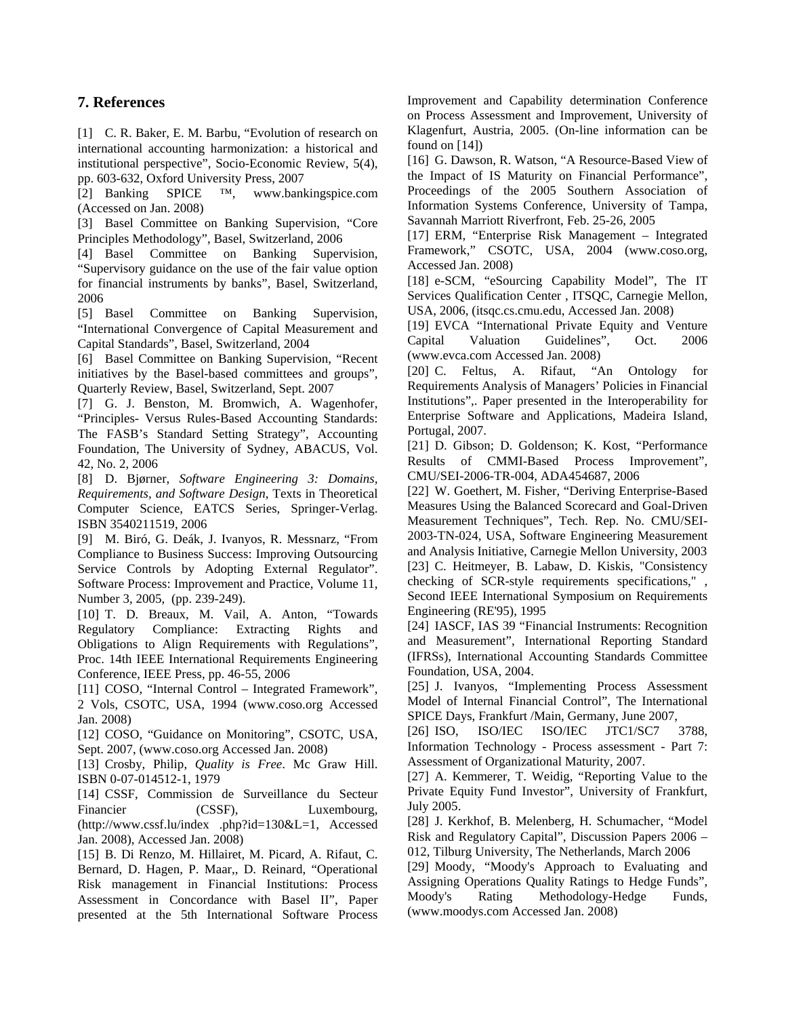# **7. References**

[1] C. R. Baker, E. M. Barbu, "Evolution of research on international accounting harmonization: a historical and institutional perspective", Socio-Economic Review, 5(4), pp. 603-632, Oxford University Press, 2007

[2] Banking SPICE ™, www.bankingspice.com (Accessed on Jan. 2008)

[3] Basel Committee on Banking Supervision, "Core Principles Methodology", Basel, Switzerland, 2006

[4] Basel Committee on Banking Supervision, "Supervisory guidance on the use of the fair value option for financial instruments by banks", Basel, Switzerland, 2006

[5] Basel Committee on Banking Supervision, "International Convergence of Capital Measurement and Capital Standards", Basel, Switzerland, 2004

[6] Basel Committee on Banking Supervision, "Recent initiatives by the Basel-based committees and groups", Quarterly Review, Basel, Switzerland, Sept. 2007

[7] G. J. Benston, M. Bromwich, A. Wagenhofer, "Principles- Versus Rules-Based Accounting Standards: The FASB's Standard Setting Strategy", Accounting Foundation, The University of Sydney, ABACUS, Vol. 42, No. 2, 2006

[8] D. Bjørner, *Software Engineering 3: Domains, Requirements, and Software Design*, Texts in Theoretical Computer Science, EATCS Series, Springer-Verlag. ISBN 3540211519, 2006

[9] M. Biró, G. Deák, J. Ivanyos, R. Messnarz, "From Compliance to Business Success: Improving Outsourcing Service Controls by Adopting External Regulator". Software Process: Improvement and Practice, Volume 11, Number 3, 2005, (pp. 239-249).

[10] T. D. Breaux, M. Vail, A. Anton, "Towards Regulatory Compliance: Extracting Rights and Obligations to Align Requirements with Regulations", Proc. 14th IEEE International Requirements Engineering Conference, IEEE Press, pp. 46-55, 2006

[11] COSO, "Internal Control – Integrated Framework", 2 Vols, CSOTC, USA, 1994 (www.coso.org Accessed Jan. 2008)

[12] COSO, "Guidance on Monitoring", CSOTC, USA, Sept. 2007, (www.coso.org Accessed Jan. 2008)

[13] Crosby, Philip, *Quality is Free*. Mc Graw Hill. ISBN 0-07-014512-1, 1979

[14] CSSF, Commission de Surveillance du Secteur Financier (CSSF), Luxembourg, (http://www.cssf.lu/index .php?id=130&L=1, Accessed Jan. 2008), Accessed Jan. 2008)

[15] B. Di Renzo, M. Hillairet, M. Picard, A. Rifaut, C. Bernard, D. Hagen, P. Maar,, D. Reinard, "Operational Risk management in Financial Institutions: Process Assessment in Concordance with Basel II", Paper presented at the 5th International Software Process Improvement and Capability determination Conference on Process Assessment and Improvement, University of Klagenfurt, Austria, 2005. (On-line information can be found on [14])

[16] G. Dawson, R. Watson, "A Resource-Based View of the Impact of IS Maturity on Financial Performance", Proceedings of the 2005 Southern Association of Information Systems Conference, University of Tampa, Savannah Marriott Riverfront, Feb. 25-26, 2005

[17] ERM, "Enterprise Risk Management – Integrated Framework," CSOTC, USA, 2004 (www.coso.org, Accessed Jan. 2008)

[18] e-SCM, "eSourcing Capability Model", The IT Services Qualification Center , ITSQC, Carnegie Mellon, USA, 2006, (itsqc.cs.cmu.edu, Accessed Jan. 2008)

[19] EVCA "International Private Equity and Venture Capital Valuation Guidelines", Oct. 2006 (www.evca.com Accessed Jan. 2008)

[20] C. Feltus, A. Rifaut, "An Ontology for Requirements Analysis of Managers' Policies in Financial Institutions",. Paper presented in the Interoperability for Enterprise Software and Applications, Madeira Island, Portugal, 2007.

[21] D. Gibson; D. Goldenson; K. Kost, "Performance Results of CMMI-Based Process Improvement", CMU/SEI-2006-TR-004, ADA454687, 2006

[22] W. Goethert, M. Fisher, "Deriving Enterprise-Based Measures Using the Balanced Scorecard and Goal-Driven Measurement Techniques", Tech. Rep. No. CMU/SEI-2003-TN-024, USA, Software Engineering Measurement and Analysis Initiative, Carnegie Mellon University, 2003 [23] C. Heitmeyer, B. Labaw, D. Kiskis, "Consistency checking of SCR-style requirements specifications," , Second IEEE International Symposium on Requirements Engineering (RE'95), 1995

[24] IASCF, IAS 39 "Financial Instruments: Recognition and Measurement", International Reporting Standard (IFRSs), International Accounting Standards Committee Foundation, USA, 2004.

[25] J. Ivanyos, "Implementing Process Assessment Model of Internal Financial Control", The International SPICE Days, Frankfurt /Main, Germany, June 2007,

[26] ISO, ISO/IEC ISO/IEC JTC1/SC7 3788, Information Technology - Process assessment - Part 7: Assessment of Organizational Maturity, 2007.

[27] A. Kemmerer, T. Weidig, "Reporting Value to the Private Equity Fund Investor", University of Frankfurt, July 2005.

[28] J. Kerkhof, B. Melenberg, H. Schumacher, "Model Risk and Regulatory Capital", Discussion Papers 2006 – 012, Tilburg University, The Netherlands, March 2006

[29] Moody, "Moody's Approach to Evaluating and Assigning Operations Quality Ratings to Hedge Funds", Moody's Rating Methodology-Hedge Funds, (www.moodys.com Accessed Jan. 2008)